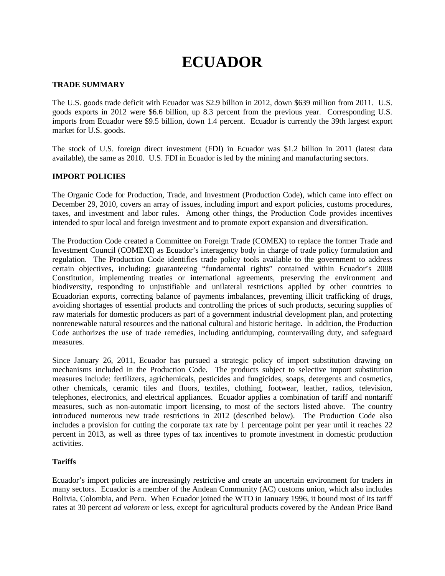# **ECUADOR**

## **TRADE SUMMARY**

The U.S. goods trade deficit with Ecuador was \$2.9 billion in 2012, down \$639 million from 2011. U.S. goods exports in 2012 were \$6.6 billion, up 8.3 percent from the previous year. Corresponding U.S. imports from Ecuador were \$9.5 billion, down 1.4 percent. Ecuador is currently the 39th largest export market for U.S. goods.

The stock of U.S. foreign direct investment (FDI) in Ecuador was \$1.2 billion in 2011 (latest data available), the same as 2010. U.S. FDI in Ecuador is led by the mining and manufacturing sectors.

# **IMPORT POLICIES**

The Organic Code for Production, Trade, and Investment (Production Code), which came into effect on December 29, 2010, covers an array of issues, including import and export policies, customs procedures, taxes, and investment and labor rules. Among other things, the Production Code provides incentives intended to spur local and foreign investment and to promote export expansion and diversification.

The Production Code created a Committee on Foreign Trade (COMEX) to replace the former Trade and Investment Council (COMEXI) as Ecuador's interagency body in charge of trade policy formulation and regulation. The Production Code identifies trade policy tools available to the government to address certain objectives, including: guaranteeing "fundamental rights" contained within Ecuador's 2008 Constitution, implementing treaties or international agreements, preserving the environment and biodiversity, responding to unjustifiable and unilateral restrictions applied by other countries to Ecuadorian exports, correcting balance of payments imbalances, preventing illicit trafficking of drugs, avoiding shortages of essential products and controlling the prices of such products, securing supplies of raw materials for domestic producers as part of a government industrial development plan, and protecting nonrenewable natural resources and the national cultural and historic heritage. In addition, the Production Code authorizes the use of trade remedies, including antidumping, countervailing duty, and safeguard measures.

Since January 26, 2011, Ecuador has pursued a strategic policy of import substitution drawing on mechanisms included in the Production Code. The products subject to selective import substitution measures include: fertilizers, agrichemicals, pesticides and fungicides, soaps, detergents and cosmetics, other chemicals, ceramic tiles and floors, textiles, clothing, footwear, leather, radios, television, telephones, electronics, and electrical appliances. Ecuador applies a combination of tariff and nontariff measures, such as non-automatic import licensing, to most of the sectors listed above. The country introduced numerous new trade restrictions in 2012 (described below). The Production Code also includes a provision for cutting the corporate tax rate by 1 percentage point per year until it reaches 22 percent in 2013, as well as three types of tax incentives to promote investment in domestic production activities.

## **Tariffs**

Ecuador's import policies are increasingly restrictive and create an uncertain environment for traders in many sectors. Ecuador is a member of the Andean Community (AC) customs union, which also includes Bolivia, Colombia, and Peru. When Ecuador joined the WTO in January 1996, it bound most of its tariff rates at 30 percent *ad valorem* or less, except for agricultural products covered by the Andean Price Band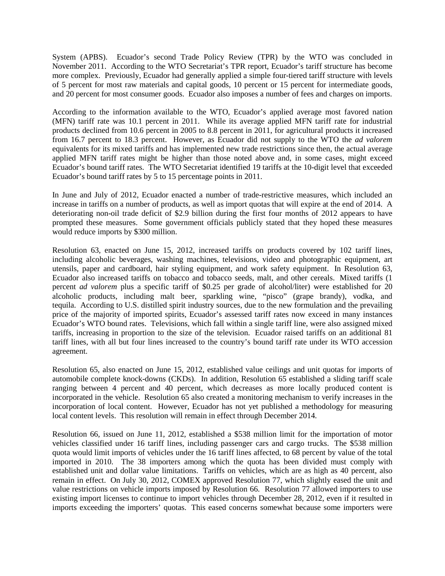System (APBS). Ecuador's second Trade Policy Review (TPR) by the WTO was concluded in November 2011. According to the WTO Secretariat's TPR report, Ecuador's tariff structure has become more complex. Previously, Ecuador had generally applied a simple four-tiered tariff structure with levels of 5 percent for most raw materials and capital goods, 10 percent or 15 percent for intermediate goods, and 20 percent for most consumer goods. Ecuador also imposes a number of fees and charges on imports.

According to the information available to the WTO, Ecuador's applied average most favored nation (MFN) tariff rate was 10.1 percent in 2011. While its average applied MFN tariff rate for industrial products declined from 10.6 percent in 2005 to 8.8 percent in 2011, for agricultural products it increased from 16.7 percent to 18.3 percent. However, as Ecuador did not supply to the WTO the *ad valorem*  equivalents for its mixed tariffs and has implemented new trade restrictions since then, the actual average applied MFN tariff rates might be higher than those noted above and, in some cases, might exceed Ecuador's bound tariff rates. The WTO Secretariat identified 19 tariffs at the 10-digit level that exceeded Ecuador's bound tariff rates by 5 to 15 percentage points in 2011.

In June and July of 2012, Ecuador enacted a number of trade-restrictive measures, which included an increase in tariffs on a number of products, as well as import quotas that will expire at the end of 2014. A deteriorating non-oil trade deficit of \$2.9 billion during the first four months of 2012 appears to have prompted these measures. Some government officials publicly stated that they hoped these measures would reduce imports by \$300 million.

Resolution 63, enacted on June 15, 2012, increased tariffs on products covered by 102 tariff lines, including alcoholic beverages, washing machines, televisions, video and photographic equipment, art utensils, paper and cardboard, hair styling equipment, and work safety equipment. In Resolution 63, Ecuador also increased tariffs on tobacco and tobacco seeds, malt, and other cereals. Mixed tariffs (1 percent *ad valorem* plus a specific tariff of \$0.25 per grade of alcohol/liter) were established for 20 alcoholic products, including malt beer, sparkling wine, "pisco" (grape brandy), vodka, and tequila. According to U.S. distilled spirit industry sources, due to the new formulation and the prevailing price of the majority of imported spirits, Ecuador's assessed tariff rates now exceed in many instances Ecuador's WTO bound rates. Televisions, which fall within a single tariff line, were also assigned mixed tariffs, increasing in proportion to the size of the television. Ecuador raised tariffs on an additional 81 tariff lines, with all but four lines increased to the country's bound tariff rate under its WTO accession agreement.

Resolution 65, also enacted on June 15, 2012, established value ceilings and unit quotas for imports of automobile complete knock-downs (CKDs). In addition, Resolution 65 established a sliding tariff scale ranging between 4 percent and 40 percent, which decreases as more locally produced content is incorporated in the vehicle. Resolution 65 also created a monitoring mechanism to verify increases in the incorporation of local content. However, Ecuador has not yet published a methodology for measuring local content levels. This resolution will remain in effect through December 2014.

Resolution 66, issued on June 11, 2012, established a \$538 million limit for the importation of motor vehicles classified under 16 tariff lines, including passenger cars and cargo trucks. The \$538 million quota would limit imports of vehicles under the 16 tariff lines affected, to 68 percent by value of the total imported in 2010. The 38 importers among which the quota has been divided must comply with established unit and dollar value limitations. Tariffs on vehicles, which are as high as 40 percent, also remain in effect. On July 30, 2012, COMEX approved Resolution 77, which slightly eased the unit and value restrictions on vehicle imports imposed by Resolution 66. Resolution 77 allowed importers to use existing import licenses to continue to import vehicles through December 28, 2012, even if it resulted in imports exceeding the importers' quotas. This eased concerns somewhat because some importers were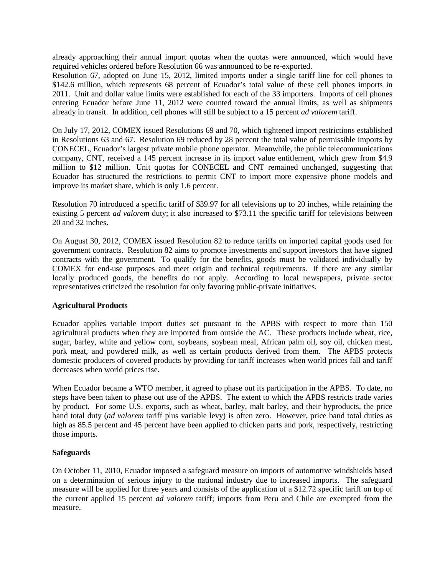already approaching their annual import quotas when the quotas were announced, which would have required vehicles ordered before Resolution 66 was announced to be re-exported.

Resolution 67, adopted on June 15, 2012, limited imports under a single tariff line for cell phones to \$142.6 million, which represents 68 percent of Ecuador's total value of these cell phones imports in 2011. Unit and dollar value limits were established for each of the 33 importers. Imports of cell phones entering Ecuador before June 11, 2012 were counted toward the annual limits, as well as shipments already in transit. In addition, cell phones will still be subject to a 15 percent *ad valorem* tariff.

On July 17, 2012, COMEX issued Resolutions 69 and 70, which tightened import restrictions established in Resolutions 63 and 67. Resolution 69 reduced by 28 percent the total value of permissible imports by CONECEL, Ecuador's largest private mobile phone operator. Meanwhile, the public telecommunications company, CNT, received a 145 percent increase in its import value entitlement, which grew from \$4.9 million to \$12 million. Unit quotas for CONECEL and CNT remained unchanged, suggesting that Ecuador has structured the restrictions to permit CNT to import more expensive phone models and improve its market share, which is only 1.6 percent.

Resolution 70 introduced a specific tariff of \$39.97 for all televisions up to 20 inches, while retaining the existing 5 percent *ad valorem* duty; it also increased to \$73.11 the specific tariff for televisions between 20 and 32 inches.

On August 30, 2012, COMEX issued Resolution 82 to reduce tariffs on imported capital goods used for government contracts. Resolution 82 aims to promote investments and support investors that have signed contracts with the government. To qualify for the benefits, goods must be validated individually by COMEX for end-use purposes and meet origin and technical requirements. If there are any similar locally produced goods, the benefits do not apply. According to local newspapers, private sector representatives criticized the resolution for only favoring public-private initiatives.

## **Agricultural Products**

Ecuador applies variable import duties set pursuant to the APBS with respect to more than 150 agricultural products when they are imported from outside the AC. These products include wheat, rice, sugar, barley, white and yellow corn, soybeans, soybean meal, African palm oil, soy oil, chicken meat, pork meat, and powdered milk, as well as certain products derived from them. The APBS protects domestic producers of covered products by providing for tariff increases when world prices fall and tariff decreases when world prices rise.

When Ecuador became a WTO member, it agreed to phase out its participation in the APBS. To date, no steps have been taken to phase out use of the APBS. The extent to which the APBS restricts trade varies by product. For some U.S. exports, such as wheat, barley, malt barley, and their byproducts, the price band total duty (*ad valorem* tariff plus variable levy) is often zero. However, price band total duties as high as 85.5 percent and 45 percent have been applied to chicken parts and pork, respectively, restricting those imports.

#### **Safeguards**

On October 11, 2010, Ecuador imposed a safeguard measure on imports of automotive windshields based on a determination of serious injury to the national industry due to increased imports. The safeguard measure will be applied for three years and consists of the application of a \$12.72 specific tariff on top of the current applied 15 percent *ad valorem* tariff; imports from Peru and Chile are exempted from the measure.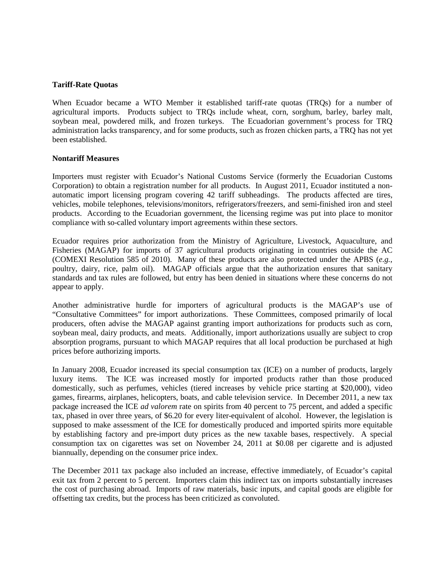#### **Tariff-Rate Quotas**

When Ecuador became a WTO Member it established tariff-rate quotas (TRQs) for a number of agricultural imports. Products subject to TRQs include wheat, corn, sorghum, barley, barley malt, soybean meal, powdered milk, and frozen turkeys. The Ecuadorian government's process for TRQ administration lacks transparency, and for some products, such as frozen chicken parts, a TRQ has not yet been established.

#### **Nontariff Measures**

Importers must register with Ecuador's National Customs Service (formerly the Ecuadorian Customs Corporation) to obtain a registration number for all products. In August 2011, Ecuador instituted a nonautomatic import licensing program covering 42 tariff subheadings. The products affected are tires, vehicles, mobile telephones, televisions/monitors, refrigerators/freezers, and semi-finished iron and steel products. According to the Ecuadorian government, the licensing regime was put into place to monitor compliance with so-called voluntary import agreements within these sectors.

Ecuador requires prior authorization from the Ministry of Agriculture, Livestock, Aquaculture, and Fisheries (MAGAP) for imports of 37 agricultural products originating in countries outside the AC (COMEXI Resolution 585 of 2010). Many of these products are also protected under the APBS (*e.g.*, poultry, dairy, rice, palm oil). MAGAP officials argue that the authorization ensures that sanitary standards and tax rules are followed, but entry has been denied in situations where these concerns do not appear to apply.

Another administrative hurdle for importers of agricultural products is the MAGAP's use of "Consultative Committees" for import authorizations. These Committees, composed primarily of local producers, often advise the MAGAP against granting import authorizations for products such as corn, soybean meal, dairy products, and meats. Additionally, import authorizations usually are subject to crop absorption programs, pursuant to which MAGAP requires that all local production be purchased at high prices before authorizing imports.

In January 2008, Ecuador increased its special consumption tax (ICE) on a number of products, largely luxury items. The ICE was increased mostly for imported products rather than those produced domestically, such as perfumes, vehicles (tiered increases by vehicle price starting at \$20,000), video games, firearms, airplanes, helicopters, boats, and cable television service. In December 2011, a new tax package increased the ICE *ad valorem* rate on spirits from 40 percent to 75 percent, and added a specific tax, phased in over three years, of \$6.20 for every liter-equivalent of alcohol. However, the legislation is supposed to make assessment of the ICE for domestically produced and imported spirits more equitable by establishing factory and pre-import duty prices as the new taxable bases, respectively. A special consumption tax on cigarettes was set on November 24, 2011 at \$0.08 per cigarette and is adjusted biannually, depending on the consumer price index.

The December 2011 tax package also included an increase, effective immediately, of Ecuador's capital exit tax from 2 percent to 5 percent. Importers claim this indirect tax on imports substantially increases the cost of purchasing abroad. Imports of raw materials, basic inputs, and capital goods are eligible for offsetting tax credits, but the process has been criticized as convoluted.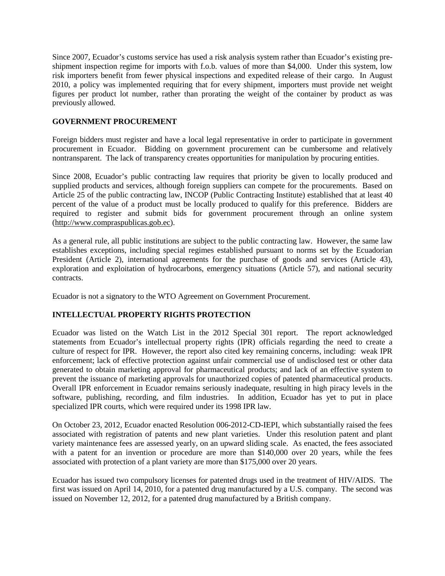Since 2007, Ecuador's customs service has used a risk analysis system rather than Ecuador's existing preshipment inspection regime for imports with f.o.b. values of more than \$4,000. Under this system, low risk importers benefit from fewer physical inspections and expedited release of their cargo. In August 2010, a policy was implemented requiring that for every shipment, importers must provide net weight figures per product lot number, rather than prorating the weight of the container by product as was previously allowed.

# **GOVERNMENT PROCUREMENT**

Foreign bidders must register and have a local legal representative in order to participate in government procurement in Ecuador. Bidding on government procurement can be cumbersome and relatively nontransparent. The lack of transparency creates opportunities for manipulation by procuring entities.

Since 2008, Ecuador's public contracting law requires that priority be given to locally produced and supplied products and services, although foreign suppliers can compete for the procurements. Based on Article 25 of the public contracting law, INCOP (Public Contracting Institute) established that at least 40 percent of the value of a product must be locally produced to qualify for this preference. Bidders are required to register and submit bids for government procurement through an online system (http://www.compraspublicas.gob.ec).

As a general rule, all public institutions are subject to the public contracting law. However, the same law establishes exceptions, including special regimes established pursuant to norms set by the Ecuadorian President (Article 2), international agreements for the purchase of goods and services (Article 43), exploration and exploitation of hydrocarbons, emergency situations (Article 57), and national security contracts.

Ecuador is not a signatory to the WTO Agreement on Government Procurement.

# **INTELLECTUAL PROPERTY RIGHTS PROTECTION**

Ecuador was listed on the Watch List in the 2012 Special 301 report. The report acknowledged statements from Ecuador's intellectual property rights (IPR) officials regarding the need to create a culture of respect for IPR. However, the report also cited key remaining concerns, including: weak IPR enforcement; lack of effective protection against unfair commercial use of undisclosed test or other data generated to obtain marketing approval for pharmaceutical products; and lack of an effective system to prevent the issuance of marketing approvals for unauthorized copies of patented pharmaceutical products. Overall IPR enforcement in Ecuador remains seriously inadequate, resulting in high piracy levels in the software, publishing, recording, and film industries. In addition, Ecuador has yet to put in place specialized IPR courts, which were required under its 1998 IPR law.

On October 23, 2012, Ecuador enacted Resolution 006-2012-CD-IEPI, which substantially raised the fees associated with registration of patents and new plant varieties. Under this resolution patent and plant variety maintenance fees are assessed yearly, on an upward sliding scale. As enacted, the fees associated with a patent for an invention or procedure are more than \$140,000 over 20 years, while the fees associated with protection of a plant variety are more than \$175,000 over 20 years.

Ecuador has issued two compulsory licenses for patented drugs used in the treatment of HIV/AIDS. The first was issued on April 14, 2010, for a patented drug manufactured by a U.S. company. The second was issued on November 12, 2012, for a patented drug manufactured by a British company.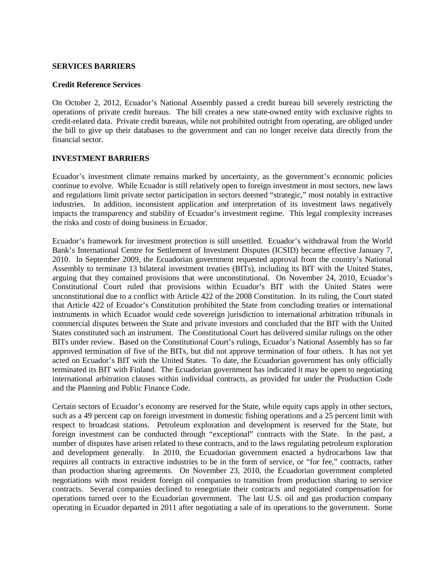#### **SERVICES BARRIERS**

#### **Credit Reference Services**

On October 2, 2012, Ecuador's National Assembly passed a credit bureau bill severely restricting the operations of private credit bureaus. The bill creates a new state-owned entity with exclusive rights to credit-related data. Private credit bureaus, while not prohibited outright from operating, are obliged under the bill to give up their databases to the government and can no longer receive data directly from the financial sector.

## **INVESTMENT BARRIERS**

Ecuador's investment climate remains marked by uncertainty, as the government's economic policies continue to evolve. While Ecuador is still relatively open to foreign investment in most sectors, new laws and regulations limit private sector participation in sectors deemed "strategic," most notably in extractive industries. In addition, inconsistent application and interpretation of its investment laws negatively impacts the transparency and stability of Ecuador's investment regime. This legal complexity increases the risks and costs of doing business in Ecuador.

Ecuador's framework for investment protection is still unsettled. Ecuador's withdrawal from the World Bank's International Centre for Settlement of Investment Disputes (ICSID) became effective January 7, 2010. In September 2009, the Ecuadorian government requested approval from the country's National Assembly to terminate 13 bilateral investment treaties (BITs), including its BIT with the United States, arguing that they contained provisions that were unconstitutional. On November 24, 2010, Ecuador's Constitutional Court ruled that provisions within Ecuador's BIT with the United States were unconstitutional due to a conflict with Article 422 of the 2008 Constitution. In its ruling, the Court stated that Article 422 of Ecuador's Constitution prohibited the State from concluding treaties or international instruments in which Ecuador would cede sovereign jurisdiction to international arbitration tribunals in commercial disputes between the State and private investors and concluded that the BIT with the United States constituted such an instrument. The Constitutional Court has delivered similar rulings on the other BITs under review. Based on the Constitutional Court's rulings, Ecuador's National Assembly has so far approved termination of five of the BITs, but did not approve termination of four others. It has not yet acted on Ecuador's BIT with the United States. To date, the Ecuadorian government has only officially terminated its BIT with Finland. The Ecuadorian government has indicated it may be open to negotiating international arbitration clauses within individual contracts, as provided for under the Production Code and the Planning and Public Finance Code.

Certain sectors of Ecuador's economy are reserved for the State, while equity caps apply in other sectors, such as a 49 percent cap on foreign investment in domestic fishing operations and a 25 percent limit with respect to broadcast stations. Petroleum exploration and development is reserved for the State, but foreign investment can be conducted through "exceptional" contracts with the State. In the past, a number of disputes have arisen related to these contracts, and to the laws regulating petroleum exploration and development generally. In 2010, the Ecuadorian government enacted a hydrocarbons law that requires all contracts in extractive industries to be in the form of service, or "for fee," contracts, rather than production sharing agreements. On November 23, 2010, the Ecuadorian government completed negotiations with most resident foreign oil companies to transition from production sharing to service contracts. Several companies declined to renegotiate their contracts and negotiated compensation for operations turned over to the Ecuadorian government. The last U.S. oil and gas production company operating in Ecuador departed in 2011 after negotiating a sale of its operations to the government. Some